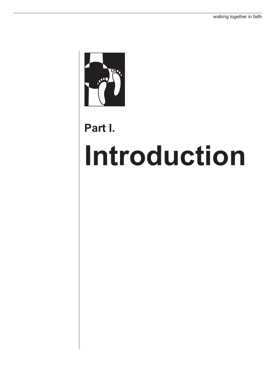

## **Part I.**

# **Introduction**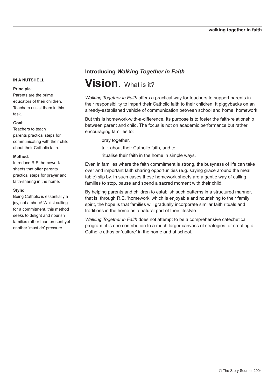#### **Principle**:

Parents are the prime educators of their children. Teachers assist them in this task.

#### **Goal**:

Teachers to teach parents practical steps for communicating with their child about their Catholic faith.

#### **Method**:

Introduce R.E. homework sheets that offer parents practical steps for prayer and faith-sharing in the home.

#### **Style**:

Being Catholic is essentially a joy, not a chore! Whilst calling for a commitment, this method seeks to delight and nourish families rather than present yet another 'must do' pressure.

### **Introducing** *Walking Together in Faith* **Vision**. What is it?

*Walking Together in Faith* offers a practical way for teachers to support parents in their responsibility to impart their Catholic faith to their children. It piggybacks on an already-established vehicle of communication between school and home: homework!

But this is homework-with-a-difference. Its purpose is to foster the faith-relationship between parent and child. The focus is not on academic performance but rather encouraging families to:

pray together,

talk about their Catholic faith, and to

ritualise their faith in the home in simple ways.

Even in families where the faith commitment is strong, the busyness of life can take over and important faith sharing opportunities (e.g. saying grace around the meal table) slip by. In such cases these homework sheets are a gentle way of calling families to stop, pause and spend a sacred moment with their child.

By helping parents and children to establish such patterns in a structured manner, that is, through R.E. 'homework' which is enjoyable and nourishing to their family spirit, the hope is that families will gradually incorporate similar faith rituals and traditions in the home as a natural part of their lifestyle.

*Walking Together in Faith* does not attempt to be a comprehensive catechetical program; it is one contribution to a much larger canvass of strategies for creating a Catholic ethos or 'culture' in the home and at school.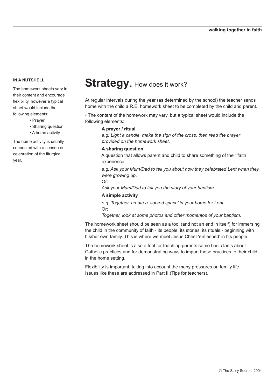The homework sheets vary in their content and encourage flexibility, however a typical sheet would include the following elements:

- Prayer
- Sharing question
- A home activity

The home activity is usually connected with a season or celebration of the liturgical year.

### **Strategy. How does it work?**

At regular intervals during the year (as determined by the school) the teacher sends home with the child a R.E. homework sheet to be completed by the child and parent.

• The content of the homework may vary, but a typical sheet would include the following elements:

#### **A prayer / ritual**

*e.g. Light a candle, make the sign of the cross, then read the prayer provided on the homework sheet.*

#### **A sharing question**

A question that allows parent and child to share something of their faith experience.

*e.g. Ask your Mum/Dad to tell you about how they celebrated Lent when they were growing up*.

Or:

*Ask your Mum/Dad to tell you the story of your baptism.*

#### **A simple activity**

*e.g. Together, create a 'sacred space' in your home for Lent.* Or:

*Together, look at some photos and other momentos of your baptism.*

The homework sheet should be seen as a tool (and not an end in itself) for immersing the child in the community of faith - its people, its stories, its rituals - beginning with his/her own family. This is where we meet Jesus Christ 'enfleshed' in his people.

The homework sheet is also a tool for teaching parents some basic facts about Catholic practices and for demonstrating ways to impart these practices to their child in the home setting.

Flexibility is important, taking into account the many pressures on family life. Issues like these are addressed in Part II (Tips for teachers).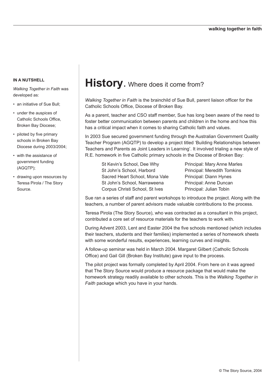*Walking Together in Faith* was developed as:

- an initiative of Sue Bull;
- under the auspices of Catholic Schools Office, Broken Bay Diocese;
- piloted by five primary schools in Broken Bay Diocese during 2003/2004;
- with the assistance of government funding (AGQTP);
- drawing upon resources by Teresa Pirola / The Story Source.

### **History**. Where does it come from?

*Walking Together in Faith* is the brainchild of Sue Bull, parent liaison officer for the Catholic Schools Office, Diocese of Broken Bay.

As a parent, teacher and CSO staff member, Sue has long been aware of the need to foster better communication between parents and children in the home and how this has a critical impact when it comes to sharing Catholic faith and values.

In 2003 Sue secured government funding through the Australian Government Quality Teacher Program (AGQTP) to develop a project titled 'Building Relationships between Teachers and Parents as Joint Leaders in Learning'. It involved trialing a new style of R.E. homework in five Catholic primary schools in the Diocese of Broken Bay:

- St Kevin's School, Dee Why Principal: Mary Anne Marles St John's School, Harbord **Principal: Meredith Tomkins** Sacred Heart School, Mona Vale Principal: Diann Hynes St John's School, Narraweena Principal: Anne Duncan Corpus Christi School, St Ives Principal: Julian Tobin
	-

Sue ran a series of staff and parent workshops to introduce the project. Along with the teachers, a number of parent advisors made valuable contributions to the process.

Teresa Pirola (The Story Source), who was contracted as a consultant in this project, contributed a core set of resource materials for the teachers to work with.

During Advent 2003, Lent and Easter 2004 the five schools mentioned (which includes their teachers, students and their families) implemented a series of homework sheets with some wonderful results, experiences, learning curves and insights.

A follow-up seminar was held in March 2004. Margaret Gilbert (Catholic Schools Office) and Gail Gill (Broken Bay Institute) gave input to the process.

The pilot project was formally completed by April 2004. From here on it was agreed that The Story Source would produce a resource package that would make the homework strategy readily available to other schools. This is the *Walking Together in Faith* package which you have in your hands.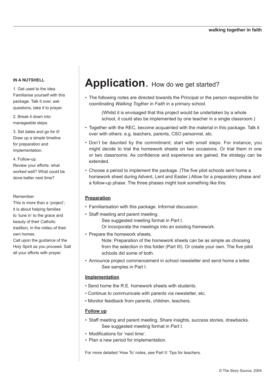1. Get used to the idea. Familiarise yourself with this package. Talk it over, ask questions, take it to prayer.

2. Break it down into manageable steps.

3. Set dates and go for it! Draw up a simple timeline for preparation and implementation.

4. Follow-up. Review your efforts: what worked well? What could be done better next time?

#### Remember:

This is more than a 'project'; it is about helping families to 'tune in' to the grace and beauty of their Catholic tradition, in the milieu of their own homes.

Call upon the guidance of the Holy Spirit as you proceed. Salt all your efforts with prayer.

### **Application.** How do we get started?

• The following notes are directed towards the Principal or the person responsible for coordinating *Walking Togther in Faith* in a primary school.

 (Whilst it is envisaged that this project would be undertaken by a whole school, it could also be implemented by one teacher in a single classroom.)

- Together with the REC, become acquainted with the material in this package. Talk it over with others: e.g. teachers, parents, CSO personnel, etc.
- Don't be daunted by the commitment; start with small steps. For instance, you might decide to trial the homework sheets on two occasions. Or trial them in one or two classrooms. As confidence and experience are gained, the strategy can be extended.
- Choose a period to implement the package. (The five pilot schools sent home a homework sheet during Advent, Lent and Easter.) Allow for a preparatory phase and a follow-up phase. The three phases might look something like this:

#### **Preparation**

- Familiarisation with this package. Informal discussion.
- Staff meeting and parent meeting. See suggested meeting format in Part I. Or incorporate the meetings into an existing framework.
- Prepare the homework sheets.

 Note: Preparation of the homework sheets can be as simple as choosing from the selection in this folder (Part III). Or create your own. The five pilot schools did some of both.

• Announce project commencement in school newsletter and send home a letter. See samples in Part I.

#### **Implementation**

- Send home the R.E. homework sheets with students.
- Continue to communicate with parents via newsletter, etc.
- Monitor feedback from parents, children, teachers.

#### **Follow up**

- Staff meeting and parent meeting. Share insights, success stories, drawbacks. See suggested meeting format in Part I.
- Modifications for 'next time'.
- Plan a new period for implementation.

For more detailed 'How To' notes, see Part II: Tips for teachers.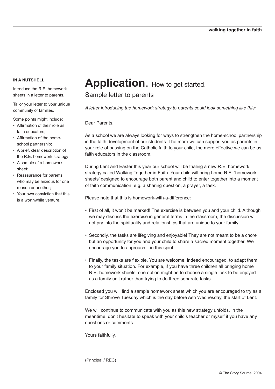Introduce the R.E. homework sheets in a letter to parents.

Tailor your letter to your unique community of families.

Some points might include:

- Affirmation of their role as faith educators;
- Affirmation of the homeschool partnership;
- A brief, clear description of the R.E. homework strategy'
- A sample of a homework sheet;
- Reassurance for parents who may be anxious for one reason or another;
- Your own conviction that this is a worthwhile venture.

### **Application.** How to get started.

Sample letter to parents

*A letter introducing the homework strategy to parents could look something like this:*

Dear Parents,

As a school we are always looking for ways to strengthen the home-school partnership in the faith development of our students. The more we can support you as parents in your role of passing on the Catholic faith to your child, the more effective we can be as faith educators in the classroom.

During Lent and Easter this year our school will be trialing a new R.E. homework strategy called Walking Together in Faith. Your child will bring home R.E. 'homework sheets' designed to encourage both parent and child to enter together into a moment of faith communication: e.g. a sharing question, a prayer, a task.

Please note that this is homework-with-a-difference:

........................................................................

- First of all, it won't be marked! The exercise is between you and your child. Although we may discuss the exercise in general terms in the classroom, the discussion will not pry into the spirituality and relationships that are unique to your family.
- Secondly, the tasks are lifegiving and enjoyable! They are not meant to be a chore but an opportunity for you and your child to share a sacred moment together. We encourage you to approach it in this spirit.
- Finally, the tasks are flexible. You are welcome, indeed encouraged, to adapt them to your family situation. For example, if you have three children all bringing home R.E. homework sheets, one option might be to choose a single task to be enjoyed as a family unit rather than trying to do three separate tasks.

Enclosed you will find a sample homework sheet which you are encouraged to try as a family for Shrove Tuesday which is the day before Ash Wednesday, the start of Lent.

We will continue to communicate with you as this new strategy unfolds. In the meantime, don't hesitate to speak with your child's teacher or myself if you have any questions or comments.

Yours faithfully,

(Principal / REC)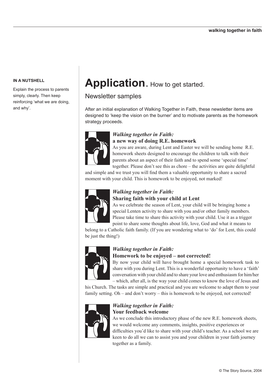Explain the process to parents simply, clearly. Then keep reinforcing 'what we are doing, and why'.

### **Application.** How to get started.

#### Newsletter samples

After an initial explanation of Walking Together in Faith, these newsletter items are designed to 'keep the vision on the burner' and to motivate parents as the homework strategy proceeds.



#### *Walking together in Faith:*  **a new way of doing R.E. homework**

As you are aware, during Lent and Easter we will be sending home R.E. homework sheets designed to encourage the children to talk with their parents about an aspect of their faith and to spend some 'special time' together. Please don't see this as chore – the activities are quite delightful

and simple and we trust you will find them a valuable opportunity to share a sacred moment with your child. This is homework to be enjoyed, not marked!



#### *Walking together in Faith:*  **Sharing faith with your child at Lent**

As we celebrate the season of Lent, your child will be bringing home a special Lenten activity to share with you and/or other family members. Please take time to share this activity with your child. Use it as a trigger point to share some thoughts about life, love, God and what it means to

belong to a Catholic faith family. (If you are wondering what to 'do' for Lent, this could be just the thing!)



#### *Walking together in Faith:*

#### **Homework to be enjoyed – not corrected!**

By now your child will have brought home a special homework task to share with you during Lent. This is a wonderful opportunity to have a 'faith' conversation with your child and to share your love and enthusiasm for him/her – which, after all, is the way your child comes to know the love of Jesus and

his Church. The tasks are simple and practical and you are welcome to adapt them to your family setting. Oh – and don't worry – this is homework to be enjoyed, not corrected!



#### *Walking together in Faith:*  **Your feedback welcome**

As we conclude this introductory phase of the new R.E. homework sheets, we would welcome any comments, insights, positive experiences or difficulties you'd like to share with your child's teacher. As a school we are keen to do all we can to assist you and your children in your faith journey together as a family.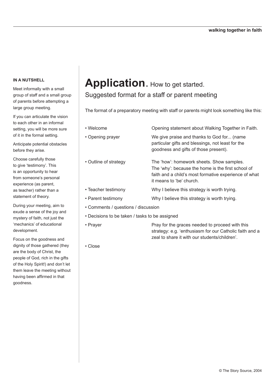Meet informally with a small group of staff and a small group of parents before attempting a large group meeting.

If you can articulate the vision to each other in an informal setting, you will be more sure of it in the formal setting.

Anticipate potential obstacles before they arise.

Choose carefully those to give 'testimony'. This is an opportunity to hear from someone's personal experience (as parent, as teacher) rather than a statement of theory.

During your meeting, aim to exude a sense of the joy and mystery of faith, not just the 'mechanics' of educational development.

Focus on the goodness and dignity of those gathered (they are the body of Christ, the people of God, rich in the gifts of the Holy Spirit!) and don't let them leave the meeting without having been affirmed in that goodness.

# **Application.** How to get started.

#### Suggested format for a staff or parent meeting

The format of a preparatory meeting with staff or parents might look something like this:

• Welcome Opening statement about Walking Together in Faith. • Opening prayer We give praise and thanks to God for... (name particular gifts and blessings, not least for the goodness and gifts of those present). • Outline of strategy The 'how': homework sheets. Show samples. The 'why': because the home is the first school of faith and a child's most formative experience of what it means to 'be' church. • Teacher testimony Why I believe this strategy is worth trying. • Parent testimony Why I believe this strategy is worth trying. • Comments / questions / discussion

strategy: e.g. 'enthusiasm for our Catholic faith and a

zeal to share it with our students/children'.

- Decisions to be taken / tasks to be assigned
- Prayer Pray for the graces needed to proceed with this
- Close